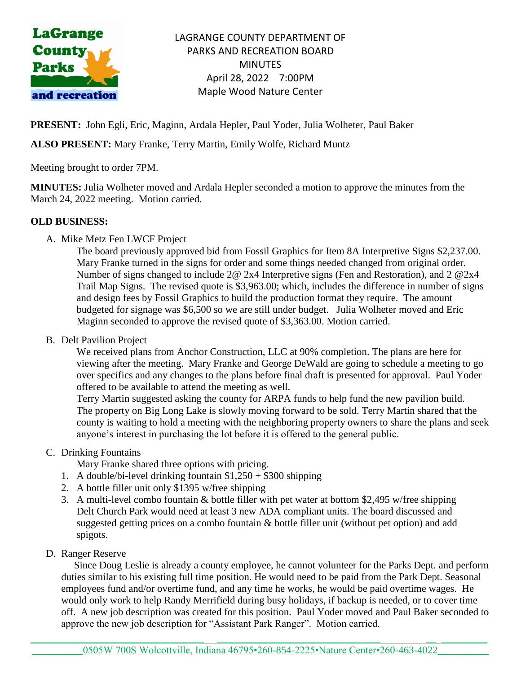

LAGRANGE COUNTY DEPARTMENT OF PARKS AND RECREATION BOARD **MINUTES** April 28, 2022 7:00PM Maple Wood Nature Center

**PRESENT:** John Egli, Eric, Maginn, Ardala Hepler, Paul Yoder, Julia Wolheter, Paul Baker

## **ALSO PRESENT:** Mary Franke, Terry Martin, Emily Wolfe, Richard Muntz

Meeting brought to order 7PM.

**MINUTES:** Julia Wolheter moved and Ardala Hepler seconded a motion to approve the minutes from the March 24, 2022 meeting. Motion carried.

### **OLD BUSINESS:**

A. Mike Metz Fen LWCF Project

The board previously approved bid from Fossil Graphics for Item 8A Interpretive Signs \$2,237.00. Mary Franke turned in the signs for order and some things needed changed from original order. Number of signs changed to include 2@ 2x4 Interpretive signs (Fen and Restoration), and 2 @2x4 Trail Map Signs. The revised quote is \$3,963.00; which, includes the difference in number of signs and design fees by Fossil Graphics to build the production format they require. The amount budgeted for signage was \$6,500 so we are still under budget. Julia Wolheter moved and Eric Maginn seconded to approve the revised quote of \$3,363.00. Motion carried.

B. Delt Pavilion Project

We received plans from Anchor Construction, LLC at 90% completion. The plans are here for viewing after the meeting. Mary Franke and George DeWald are going to schedule a meeting to go over specifics and any changes to the plans before final draft is presented for approval. Paul Yoder offered to be available to attend the meeting as well.

Terry Martin suggested asking the county for ARPA funds to help fund the new pavilion build. The property on Big Long Lake is slowly moving forward to be sold. Terry Martin shared that the county is waiting to hold a meeting with the neighboring property owners to share the plans and seek anyone's interest in purchasing the lot before it is offered to the general public.

C. Drinking Fountains

Mary Franke shared three options with pricing.

- 1. A double/bi-level drinking fountain  $$1,250 + $300$  shipping
- 2. A bottle filler unit only \$1395 w/free shipping
- 3. A multi-level combo fountain & bottle filler with pet water at bottom \$2,495 w/free shipping Delt Church Park would need at least 3 new ADA compliant units. The board discussed and suggested getting prices on a combo fountain & bottle filler unit (without pet option) and add spigots.
- D. Ranger Reserve

 Since Doug Leslie is already a county employee, he cannot volunteer for the Parks Dept. and perform duties similar to his existing full time position. He would need to be paid from the Park Dept. Seasonal employees fund and/or overtime fund, and any time he works, he would be paid overtime wages. He would only work to help Randy Merrifield during busy holidays, if backup is needed, or to cover time off. A new job description was created for this position. Paul Yoder moved and Paul Baker seconded to approve the new job description for "Assistant Park Ranger". Motion carried.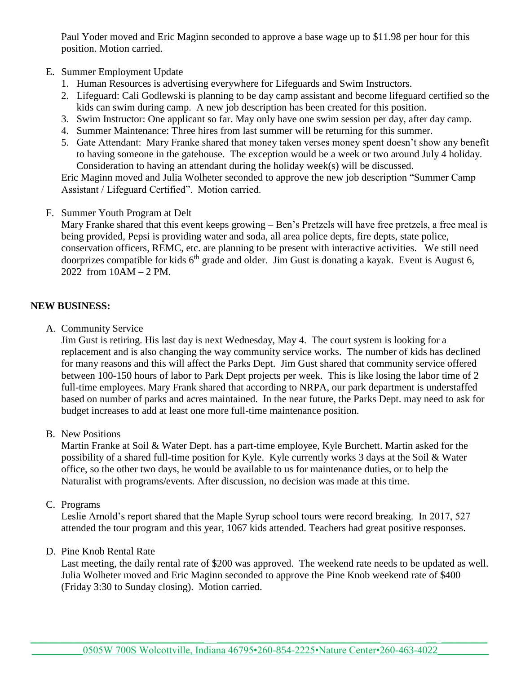Paul Yoder moved and Eric Maginn seconded to approve a base wage up to \$11.98 per hour for this position. Motion carried.

- E. Summer Employment Update
	- 1. Human Resources is advertising everywhere for Lifeguards and Swim Instructors.
	- 2. Lifeguard: Cali Godlewski is planning to be day camp assistant and become lifeguard certified so the kids can swim during camp. A new job description has been created for this position.
	- 3. Swim Instructor: One applicant so far. May only have one swim session per day, after day camp.
	- 4. Summer Maintenance: Three hires from last summer will be returning for this summer.
	- 5. Gate Attendant: Mary Franke shared that money taken verses money spent doesn't show any benefit to having someone in the gatehouse. The exception would be a week or two around July 4 holiday. Consideration to having an attendant during the holiday week(s) will be discussed.

Eric Maginn moved and Julia Wolheter seconded to approve the new job description "Summer Camp Assistant / Lifeguard Certified". Motion carried.

F. Summer Youth Program at Delt

Mary Franke shared that this event keeps growing – Ben's Pretzels will have free pretzels, a free meal is being provided, Pepsi is providing water and soda, all area police depts, fire depts, state police, conservation officers, REMC, etc. are planning to be present with interactive activities. We still need doorprizes compatible for kids  $6<sup>th</sup>$  grade and older. Jim Gust is donating a kayak. Event is August 6, 2022 from 10AM – 2 PM.

# **NEW BUSINESS:**

A. Community Service

Jim Gust is retiring. His last day is next Wednesday, May 4. The court system is looking for a replacement and is also changing the way community service works. The number of kids has declined for many reasons and this will affect the Parks Dept. Jim Gust shared that community service offered between 100-150 hours of labor to Park Dept projects per week. This is like losing the labor time of 2 full-time employees. Mary Frank shared that according to NRPA, our park department is understaffed based on number of parks and acres maintained. In the near future, the Parks Dept. may need to ask for budget increases to add at least one more full-time maintenance position.

B. New Positions

Martin Franke at Soil & Water Dept. has a part-time employee, Kyle Burchett. Martin asked for the possibility of a shared full-time position for Kyle. Kyle currently works 3 days at the Soil & Water office, so the other two days, he would be available to us for maintenance duties, or to help the Naturalist with programs/events. After discussion, no decision was made at this time.

# C. Programs

Leslie Arnold's report shared that the Maple Syrup school tours were record breaking. In 2017, 527 attended the tour program and this year, 1067 kids attended. Teachers had great positive responses.

### D. Pine Knob Rental Rate

Last meeting, the daily rental rate of \$200 was approved. The weekend rate needs to be updated as well. Julia Wolheter moved and Eric Maginn seconded to approve the Pine Knob weekend rate of \$400 (Friday 3:30 to Sunday closing). Motion carried.